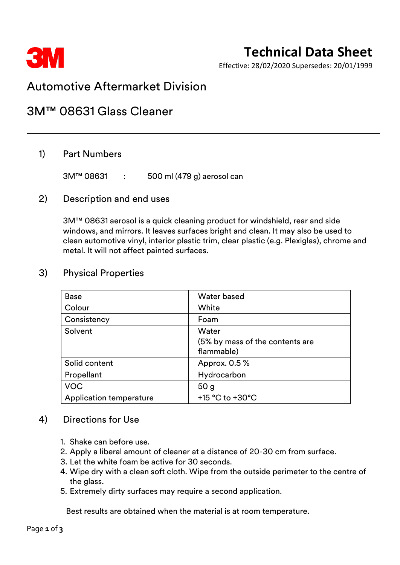

# **Technical Data Sheet**

Effective: 28/02/2020 Supersedes: 20/01/1999

## Automotive Aftermarket Division

## 3M™ 08631 Glass Cleaner

### 1) Part Numbers

3M™ 08631 : 500 ml (479 g) aerosol can

#### 2) Description and end uses

3M™ 08631 aerosol is a quick cleaning product for windshield, rear and side windows, and mirrors. It leaves surfaces bright and clean. It may also be used to clean automotive vinyl, interior plastic trim, clear plastic (e.g. Plexiglas), chrome and metal. It will not affect painted surfaces.

| <b>Base</b>                    | <b>Water based</b>                                     |
|--------------------------------|--------------------------------------------------------|
| Colour                         | White                                                  |
| Consistency                    | Foam                                                   |
| Solvent                        | Water<br>(5% by mass of the contents are<br>flammable) |
| Solid content                  | Approx. 0.5 %                                          |
| Propellant                     | Hydrocarbon                                            |
| <b>VOC</b>                     | 50 <sub>g</sub>                                        |
| <b>Application temperature</b> | +15 °C to +30°C                                        |

### 3) Physical Properties

#### 4) Directions for Use

- 1. Shake can before use.
- 2. Apply a liberal amount of cleaner at a distance of 20-30 cm from surface.
- 3. Let the white foam be active for 30 seconds.
- 4. Wipe dry with a clean soft cloth. Wipe from the outside perimeter to the centre of the glass.
- 5. Extremely dirty surfaces may require a second application.

Best results are obtained when the material is at room temperature.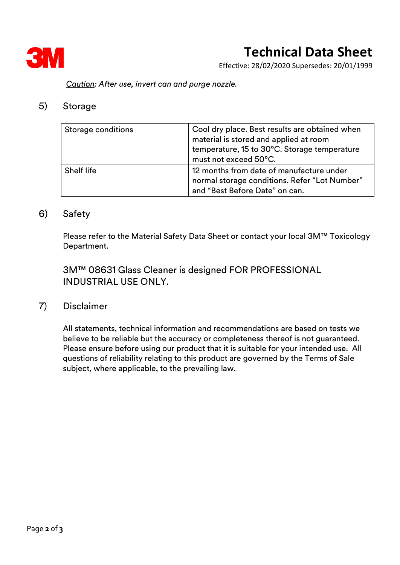

# **Technical Data Sheet**

Effective: 28/02/2020 Supersedes: 20/01/1999

*Caution: After use, invert can and purge nozzle.*

#### 5) Storage

| Storage conditions | Cool dry place. Best results are obtained when<br>material is stored and applied at room<br>temperature, 15 to 30°C. Storage temperature<br>must not exceed 50°C. |
|--------------------|-------------------------------------------------------------------------------------------------------------------------------------------------------------------|
| Shelf life         | 12 months from date of manufacture under<br>normal storage conditions. Refer "Lot Number"<br>and "Best Before Date" on can.                                       |

#### 6) Safety

Please refer to the Material Safety Data Sheet or contact your local 3M™ Toxicology Department.

3M™ 08631 Glass Cleaner is designed FOR PROFESSIONAL INDUSTRIAL USE ONLY.

### 7) Disclaimer

All statements, technical information and recommendations are based on tests we believe to be reliable but the accuracy or completeness thereof is not guaranteed. Please ensure before using our product that it is suitable for your intended use. All questions of reliability relating to this product are governed by the Terms of Sale subject, where applicable, to the prevailing law.